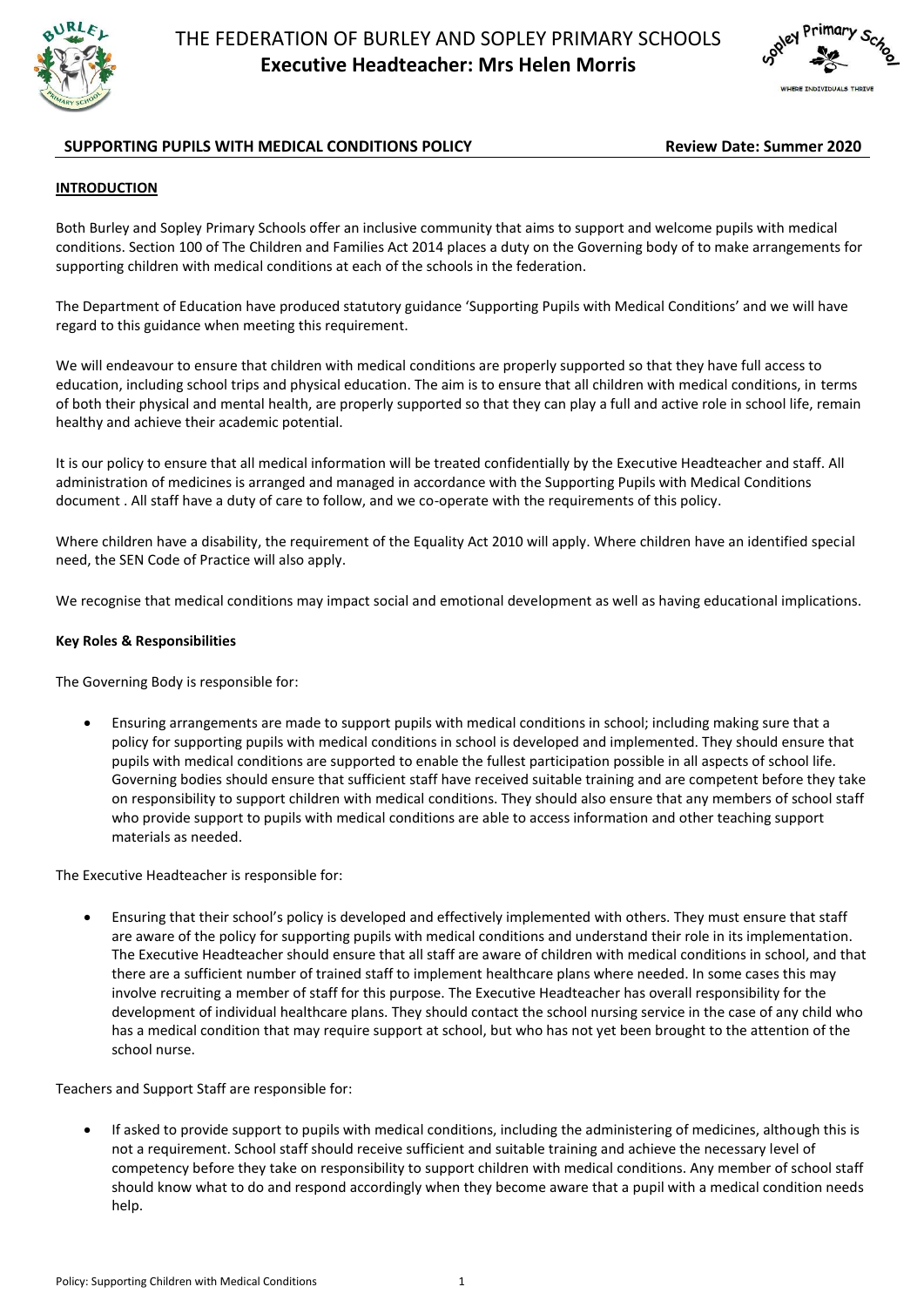



# **SUPPORTING PUPILS WITH MEDICAL CONDITIONS POLICY <b>Review Date: Summer 2020**

### **INTRODUCTION**

Both Burley and Sopley Primary Schools offer an inclusive community that aims to support and welcome pupils with medical conditions. Section 100 of The Children and Families Act 2014 places a duty on the Governing body of to make arrangements for supporting children with medical conditions at each of the schools in the federation.

The Department of Education have produced statutory guidance 'Supporting Pupils with Medical Conditions' and we will have regard to this guidance when meeting this requirement.

We will endeavour to ensure that children with medical conditions are properly supported so that they have full access to education, including school trips and physical education. The aim is to ensure that all children with medical conditions, in terms of both their physical and mental health, are properly supported so that they can play a full and active role in school life, remain healthy and achieve their academic potential.

It is our policy to ensure that all medical information will be treated confidentially by the Executive Headteacher and staff. All administration of medicines is arranged and managed in accordance with the Supporting Pupils with Medical Conditions document . All staff have a duty of care to follow, and we co-operate with the requirements of this policy.

Where children have a disability, the requirement of the Equality Act 2010 will apply. Where children have an identified special need, the SEN Code of Practice will also apply.

We recognise that medical conditions may impact social and emotional development as well as having educational implications.

#### **Key Roles & Responsibilities**

The Governing Body is responsible for:

 Ensuring arrangements are made to support pupils with medical conditions in school; including making sure that a policy for supporting pupils with medical conditions in school is developed and implemented. They should ensure that pupils with medical conditions are supported to enable the fullest participation possible in all aspects of school life. Governing bodies should ensure that sufficient staff have received suitable training and are competent before they take on responsibility to support children with medical conditions. They should also ensure that any members of school staff who provide support to pupils with medical conditions are able to access information and other teaching support materials as needed.

The Executive Headteacher is responsible for:

 Ensuring that their school's policy is developed and effectively implemented with others. They must ensure that staff are aware of the policy for supporting pupils with medical conditions and understand their role in its implementation. The Executive Headteacher should ensure that all staff are aware of children with medical conditions in school, and that there are a sufficient number of trained staff to implement healthcare plans where needed. In some cases this may involve recruiting a member of staff for this purpose. The Executive Headteacher has overall responsibility for the development of individual healthcare plans. They should contact the school nursing service in the case of any child who has a medical condition that may require support at school, but who has not yet been brought to the attention of the school nurse.

Teachers and Support Staff are responsible for:

 If asked to provide support to pupils with medical conditions, including the administering of medicines, although this is not a requirement. School staff should receive sufficient and suitable training and achieve the necessary level of competency before they take on responsibility to support children with medical conditions. Any member of school staff should know what to do and respond accordingly when they become aware that a pupil with a medical condition needs help.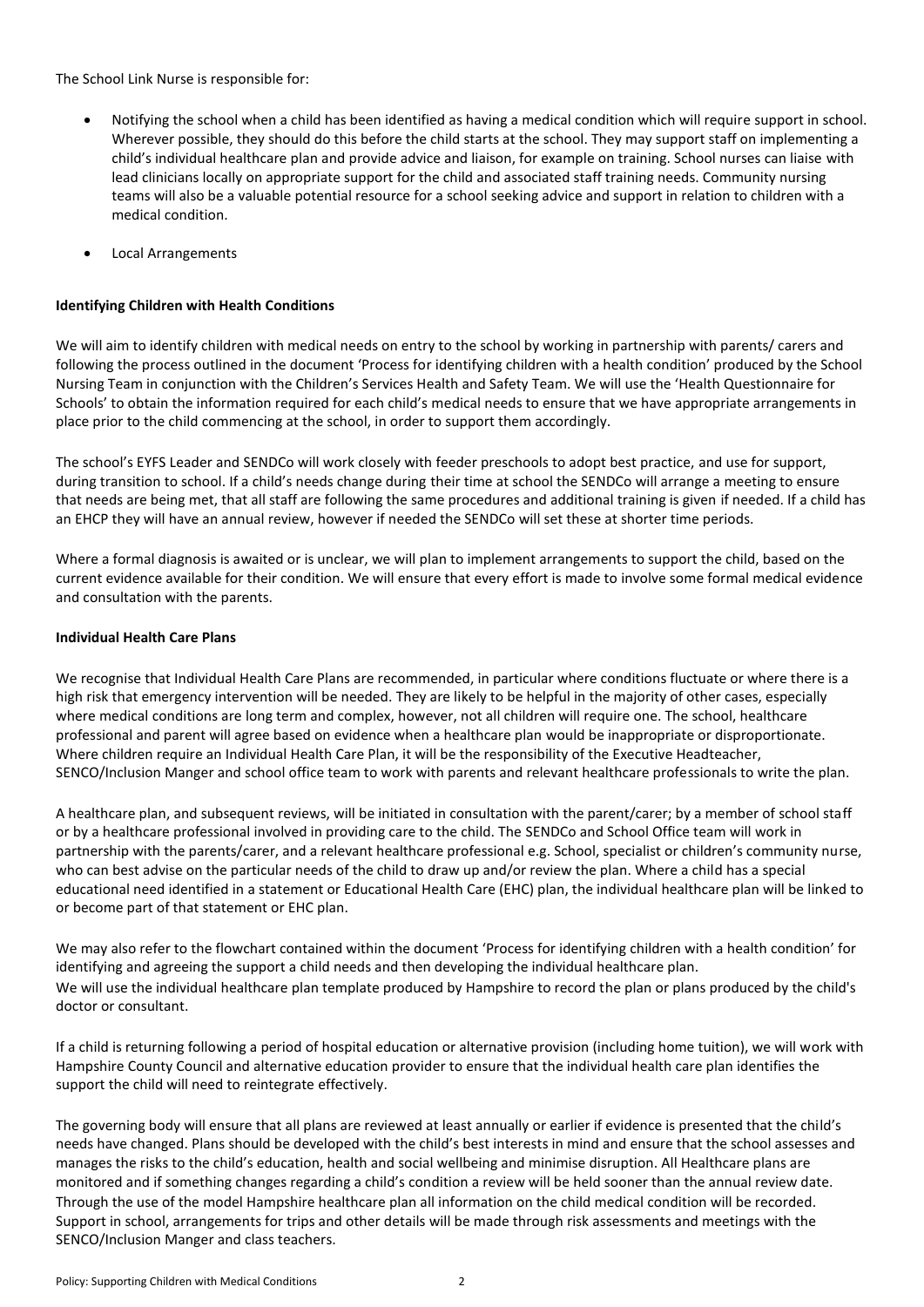The School Link Nurse is responsible for:

- Notifying the school when a child has been identified as having a medical condition which will require support in school. Wherever possible, they should do this before the child starts at the school. They may support staff on implementing a child's individual healthcare plan and provide advice and liaison, for example on training. School nurses can liaise with lead clinicians locally on appropriate support for the child and associated staff training needs. Community nursing teams will also be a valuable potential resource for a school seeking advice and support in relation to children with a medical condition.
- Local Arrangements

# **Identifying Children with Health Conditions**

We will aim to identify children with medical needs on entry to the school by working in partnership with parents/ carers and following the process outlined in the document 'Process for identifying children with a health condition' produced by the School Nursing Team in conjunction with the Children's Services Health and Safety Team. We will use the 'Health Questionnaire for Schools' to obtain the information required for each child's medical needs to ensure that we have appropriate arrangements in place prior to the child commencing at the school, in order to support them accordingly.

The school's EYFS Leader and SENDCo will work closely with feeder preschools to adopt best practice, and use for support, during transition to school. If a child's needs change during their time at school the SENDCo will arrange a meeting to ensure that needs are being met, that all staff are following the same procedures and additional training is given if needed. If a child has an EHCP they will have an annual review, however if needed the SENDCo will set these at shorter time periods.

Where a formal diagnosis is awaited or is unclear, we will plan to implement arrangements to support the child, based on the current evidence available for their condition. We will ensure that every effort is made to involve some formal medical evidence and consultation with the parents.

## **Individual Health Care Plans**

We recognise that Individual Health Care Plans are recommended, in particular where conditions fluctuate or where there is a high risk that emergency intervention will be needed. They are likely to be helpful in the majority of other cases, especially where medical conditions are long term and complex, however, not all children will require one. The school, healthcare professional and parent will agree based on evidence when a healthcare plan would be inappropriate or disproportionate. Where children require an Individual Health Care Plan, it will be the responsibility of the Executive Headteacher, SENCO/Inclusion Manger and school office team to work with parents and relevant healthcare professionals to write the plan.

A healthcare plan, and subsequent reviews, will be initiated in consultation with the parent/carer; by a member of school staff or by a healthcare professional involved in providing care to the child. The SENDCo and School Office team will work in partnership with the parents/carer, and a relevant healthcare professional e.g. School, specialist or children's community nurse, who can best advise on the particular needs of the child to draw up and/or review the plan. Where a child has a special educational need identified in a statement or Educational Health Care (EHC) plan, the individual healthcare plan will be linked to or become part of that statement or EHC plan.

We may also refer to the flowchart contained within the document 'Process for identifying children with a health condition' for identifying and agreeing the support a child needs and then developing the individual healthcare plan. We will use the individual healthcare plan template produced by Hampshire to record the plan or plans produced by the child's doctor or consultant.

If a child is returning following a period of hospital education or alternative provision (including home tuition), we will work with Hampshire County Council and alternative education provider to ensure that the individual health care plan identifies the support the child will need to reintegrate effectively.

The governing body will ensure that all plans are reviewed at least annually or earlier if evidence is presented that the child's needs have changed. Plans should be developed with the child's best interests in mind and ensure that the school assesses and manages the risks to the child's education, health and social wellbeing and minimise disruption. All Healthcare plans are monitored and if something changes regarding a child's condition a review will be held sooner than the annual review date. Through the use of the model Hampshire healthcare plan all information on the child medical condition will be recorded. Support in school, arrangements for trips and other details will be made through risk assessments and meetings with the SENCO/Inclusion Manger and class teachers.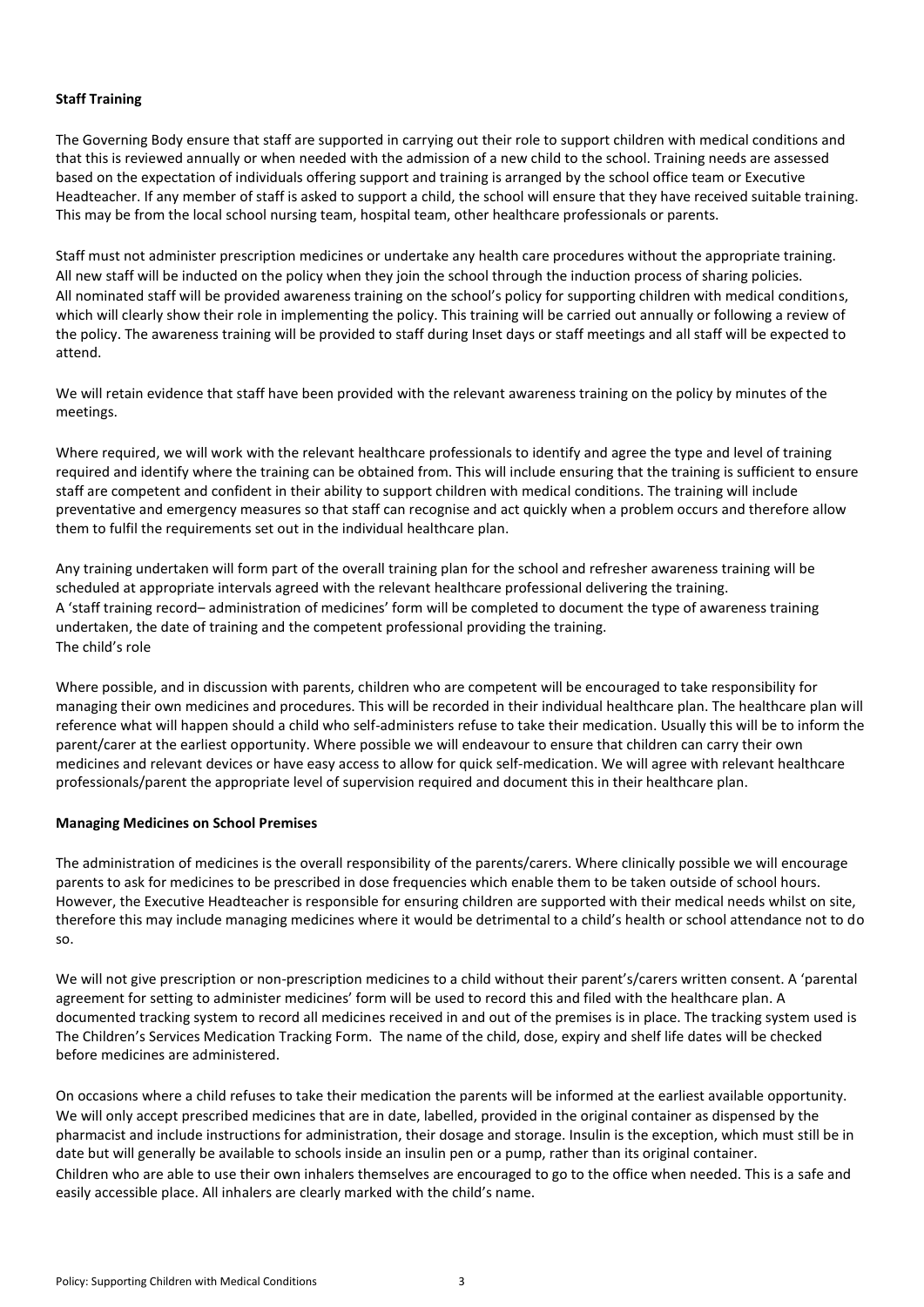### **Staff Training**

The Governing Body ensure that staff are supported in carrying out their role to support children with medical conditions and that this is reviewed annually or when needed with the admission of a new child to the school. Training needs are assessed based on the expectation of individuals offering support and training is arranged by the school office team or Executive Headteacher. If any member of staff is asked to support a child, the school will ensure that they have received suitable training. This may be from the local school nursing team, hospital team, other healthcare professionals or parents.

Staff must not administer prescription medicines or undertake any health care procedures without the appropriate training. All new staff will be inducted on the policy when they join the school through the induction process of sharing policies. All nominated staff will be provided awareness training on the school's policy for supporting children with medical conditions, which will clearly show their role in implementing the policy. This training will be carried out annually or following a review of the policy. The awareness training will be provided to staff during Inset days or staff meetings and all staff will be expected to attend.

We will retain evidence that staff have been provided with the relevant awareness training on the policy by minutes of the meetings.

Where required, we will work with the relevant healthcare professionals to identify and agree the type and level of training required and identify where the training can be obtained from. This will include ensuring that the training is sufficient to ensure staff are competent and confident in their ability to support children with medical conditions. The training will include preventative and emergency measures so that staff can recognise and act quickly when a problem occurs and therefore allow them to fulfil the requirements set out in the individual healthcare plan.

Any training undertaken will form part of the overall training plan for the school and refresher awareness training will be scheduled at appropriate intervals agreed with the relevant healthcare professional delivering the training. A 'staff training record– administration of medicines' form will be completed to document the type of awareness training undertaken, the date of training and the competent professional providing the training. The child's role

Where possible, and in discussion with parents, children who are competent will be encouraged to take responsibility for managing their own medicines and procedures. This will be recorded in their individual healthcare plan. The healthcare plan will reference what will happen should a child who self-administers refuse to take their medication. Usually this will be to inform the parent/carer at the earliest opportunity. Where possible we will endeavour to ensure that children can carry their own medicines and relevant devices or have easy access to allow for quick self-medication. We will agree with relevant healthcare professionals/parent the appropriate level of supervision required and document this in their healthcare plan.

## **Managing Medicines on School Premises**

The administration of medicines is the overall responsibility of the parents/carers. Where clinically possible we will encourage parents to ask for medicines to be prescribed in dose frequencies which enable them to be taken outside of school hours. However, the Executive Headteacher is responsible for ensuring children are supported with their medical needs whilst on site, therefore this may include managing medicines where it would be detrimental to a child's health or school attendance not to do so.

We will not give prescription or non-prescription medicines to a child without their parent's/carers written consent. A 'parental agreement for setting to administer medicines' form will be used to record this and filed with the healthcare plan. A documented tracking system to record all medicines received in and out of the premises is in place. The tracking system used is The Children's Services Medication Tracking Form. The name of the child, dose, expiry and shelf life dates will be checked before medicines are administered.

On occasions where a child refuses to take their medication the parents will be informed at the earliest available opportunity. We will only accept prescribed medicines that are in date, labelled, provided in the original container as dispensed by the pharmacist and include instructions for administration, their dosage and storage. Insulin is the exception, which must still be in date but will generally be available to schools inside an insulin pen or a pump, rather than its original container. Children who are able to use their own inhalers themselves are encouraged to go to the office when needed. This is a safe and easily accessible place. All inhalers are clearly marked with the child's name.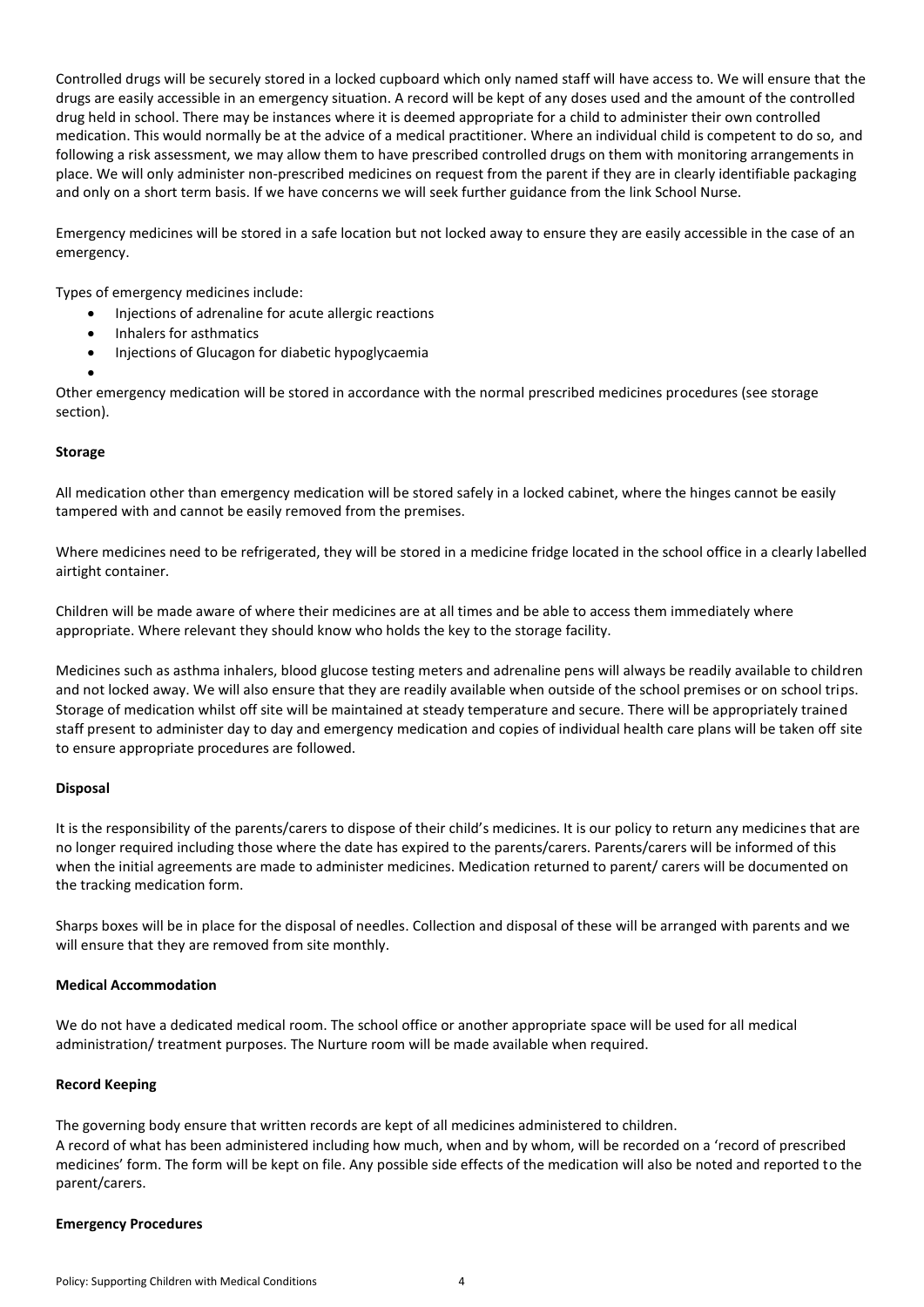Controlled drugs will be securely stored in a locked cupboard which only named staff will have access to. We will ensure that the drugs are easily accessible in an emergency situation. A record will be kept of any doses used and the amount of the controlled drug held in school. There may be instances where it is deemed appropriate for a child to administer their own controlled medication. This would normally be at the advice of a medical practitioner. Where an individual child is competent to do so, and following a risk assessment, we may allow them to have prescribed controlled drugs on them with monitoring arrangements in place. We will only administer non-prescribed medicines on request from the parent if they are in clearly identifiable packaging and only on a short term basis. If we have concerns we will seek further guidance from the link School Nurse.

Emergency medicines will be stored in a safe location but not locked away to ensure they are easily accessible in the case of an emergency.

Types of emergency medicines include:

- Injections of adrenaline for acute allergic reactions
- Inhalers for asthmatics
- **•** Injections of Glucagon for diabetic hypoglycaemia
- $\bullet$

Other emergency medication will be stored in accordance with the normal prescribed medicines procedures (see storage section).

#### **Storage**

All medication other than emergency medication will be stored safely in a locked cabinet, where the hinges cannot be easily tampered with and cannot be easily removed from the premises.

Where medicines need to be refrigerated, they will be stored in a medicine fridge located in the school office in a clearly labelled airtight container.

Children will be made aware of where their medicines are at all times and be able to access them immediately where appropriate. Where relevant they should know who holds the key to the storage facility.

Medicines such as asthma inhalers, blood glucose testing meters and adrenaline pens will always be readily available to children and not locked away. We will also ensure that they are readily available when outside of the school premises or on school trips. Storage of medication whilst off site will be maintained at steady temperature and secure. There will be appropriately trained staff present to administer day to day and emergency medication and copies of individual health care plans will be taken off site to ensure appropriate procedures are followed.

## **Disposal**

It is the responsibility of the parents/carers to dispose of their child's medicines. It is our policy to return any medicines that are no longer required including those where the date has expired to the parents/carers. Parents/carers will be informed of this when the initial agreements are made to administer medicines. Medication returned to parent/ carers will be documented on the tracking medication form.

Sharps boxes will be in place for the disposal of needles. Collection and disposal of these will be arranged with parents and we will ensure that they are removed from site monthly.

#### **Medical Accommodation**

We do not have a dedicated medical room. The school office or another appropriate space will be used for all medical administration/ treatment purposes. The Nurture room will be made available when required.

#### **Record Keeping**

The governing body ensure that written records are kept of all medicines administered to children. A record of what has been administered including how much, when and by whom, will be recorded on a 'record of prescribed medicines' form. The form will be kept on file. Any possible side effects of the medication will also be noted and reported to the parent/carers.

#### **Emergency Procedures**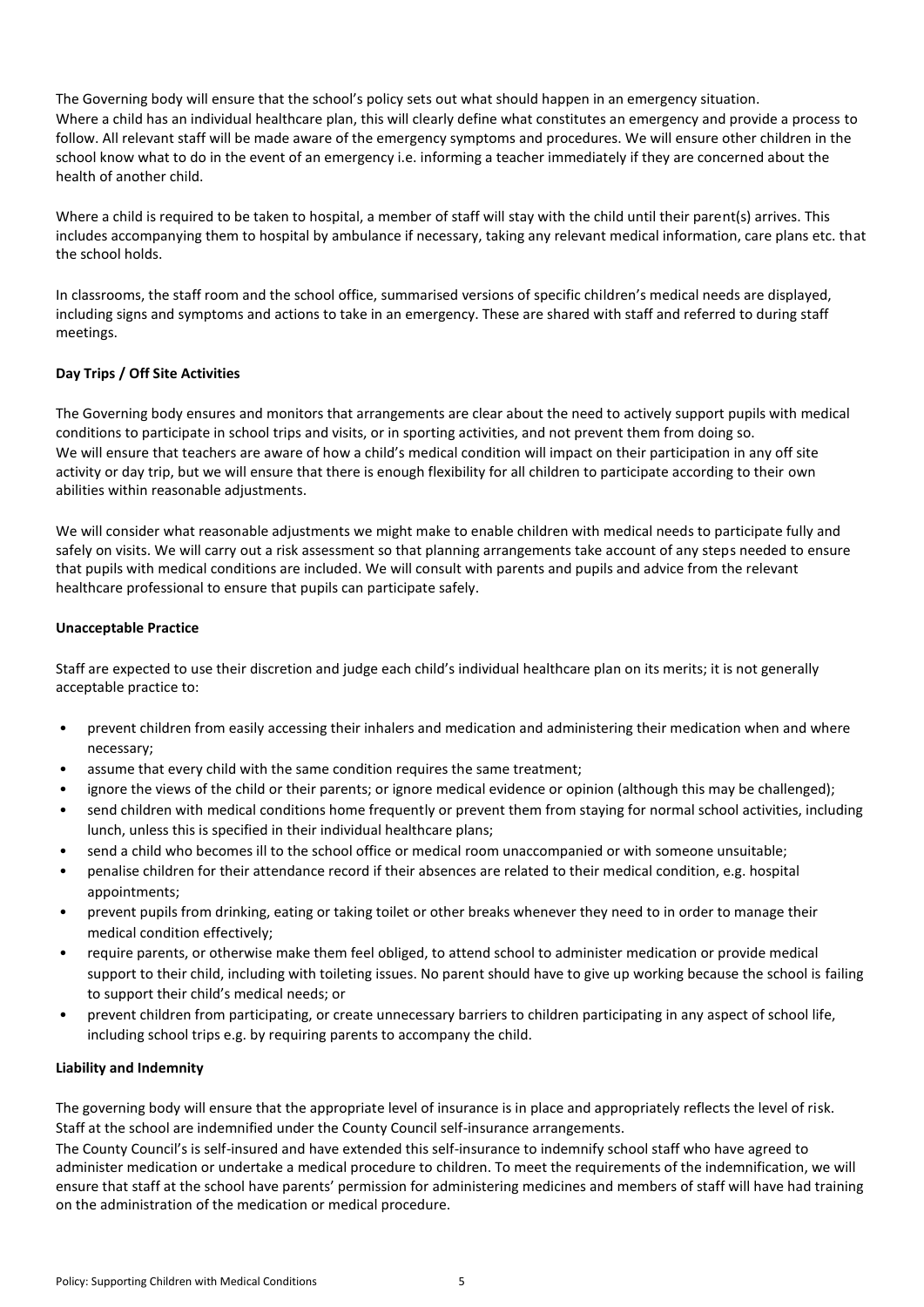The Governing body will ensure that the school's policy sets out what should happen in an emergency situation. Where a child has an individual healthcare plan, this will clearly define what constitutes an emergency and provide a process to follow. All relevant staff will be made aware of the emergency symptoms and procedures. We will ensure other children in the school know what to do in the event of an emergency i.e. informing a teacher immediately if they are concerned about the health of another child.

Where a child is required to be taken to hospital, a member of staff will stay with the child until their parent(s) arrives. This includes accompanying them to hospital by ambulance if necessary, taking any relevant medical information, care plans etc. that the school holds.

In classrooms, the staff room and the school office, summarised versions of specific children's medical needs are displayed, including signs and symptoms and actions to take in an emergency. These are shared with staff and referred to during staff meetings.

# **Day Trips / Off Site Activities**

The Governing body ensures and monitors that arrangements are clear about the need to actively support pupils with medical conditions to participate in school trips and visits, or in sporting activities, and not prevent them from doing so. We will ensure that teachers are aware of how a child's medical condition will impact on their participation in any off site activity or day trip, but we will ensure that there is enough flexibility for all children to participate according to their own abilities within reasonable adjustments.

We will consider what reasonable adjustments we might make to enable children with medical needs to participate fully and safely on visits. We will carry out a risk assessment so that planning arrangements take account of any steps needed to ensure that pupils with medical conditions are included. We will consult with parents and pupils and advice from the relevant healthcare professional to ensure that pupils can participate safely.

## **Unacceptable Practice**

Staff are expected to use their discretion and judge each child's individual healthcare plan on its merits; it is not generally acceptable practice to:

- prevent children from easily accessing their inhalers and medication and administering their medication when and where necessary;
- assume that every child with the same condition requires the same treatment;
- ignore the views of the child or their parents; or ignore medical evidence or opinion (although this may be challenged);
- send children with medical conditions home frequently or prevent them from staying for normal school activities, including lunch, unless this is specified in their individual healthcare plans;
- send a child who becomes ill to the school office or medical room unaccompanied or with someone unsuitable;
- penalise children for their attendance record if their absences are related to their medical condition, e.g. hospital appointments;
- prevent pupils from drinking, eating or taking toilet or other breaks whenever they need to in order to manage their medical condition effectively;
- require parents, or otherwise make them feel obliged, to attend school to administer medication or provide medical support to their child, including with toileting issues. No parent should have to give up working because the school is failing to support their child's medical needs; or
- prevent children from participating, or create unnecessary barriers to children participating in any aspect of school life, including school trips e.g. by requiring parents to accompany the child.

## **Liability and Indemnity**

The governing body will ensure that the appropriate level of insurance is in place and appropriately reflects the level of risk. Staff at the school are indemnified under the County Council self-insurance arrangements.

The County Council's is self-insured and have extended this self-insurance to indemnify school staff who have agreed to administer medication or undertake a medical procedure to children. To meet the requirements of the indemnification, we will ensure that staff at the school have parents' permission for administering medicines and members of staff will have had training on the administration of the medication or medical procedure.